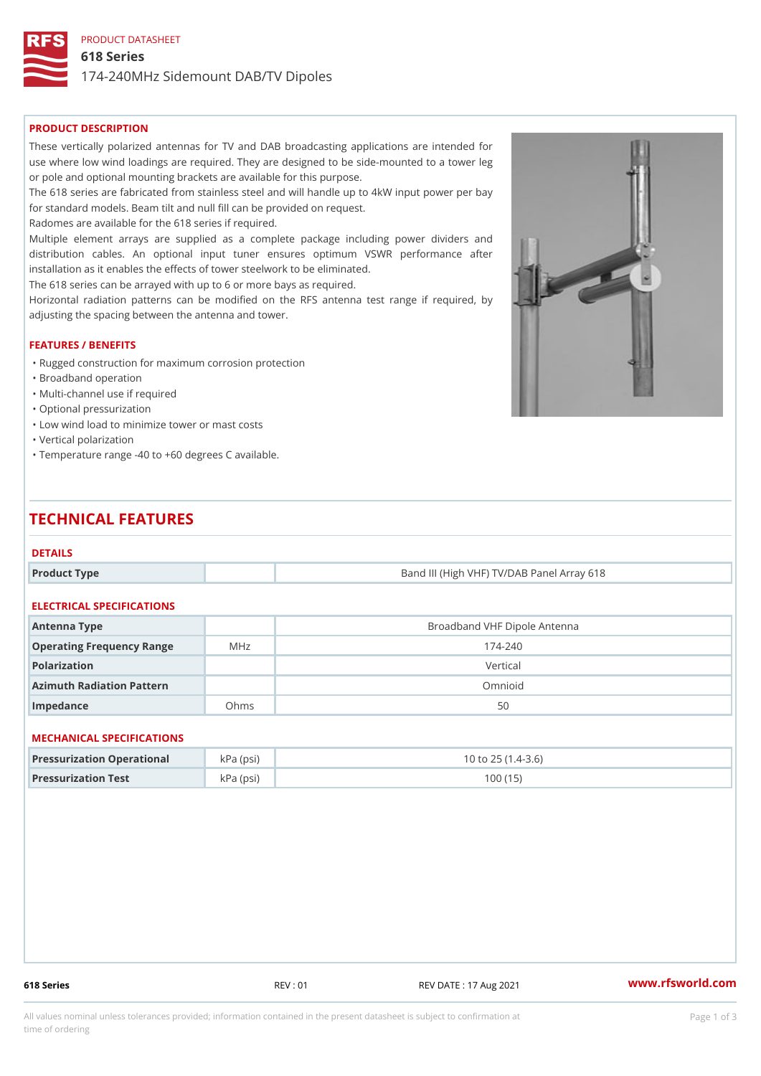PRODUCT DATASHEET

618 Series

174-240MHz Sidemount DAB/TV Dipoles

## PRODUCT DESCRIPTION

These vertically polarized antennas for TV and DAB broadcasting applications are intended for use where low wind loadings are required. They are designed to be side-mounted to a tower leg or pole and optional mounting brackets are available for this purpose. The 618 series are fabricated from stainless steel and will handle up to 4kW input power per bay for standard models. Beam tilt and null fill can be provided on request. Radomes are available for the 618 series if required. Multiple element arrays are supplied as a complete package including power dividers and distribution cables. An optional input tuner ensures optimum VSWR performance after installation as it enables the effects of tower steelwork to be eliminated. The 618 series can be arrayed with up to 6 or more bays as required. Horizontal radiation patterns can be modified on the RFS antenna test range if required, by adjusting the spacing between the antenna and tower. FEATURES / BENEFITS

- "Rugged construction for maximum corrosion protection
- "Broadband operation
- "Multi-channel use if required
- "Optional pressurization
- "Low wind load to minimize tower or mast costs
- "Vertical polarization
- "Temperature range -40 to +60 degrees C available.

# TECHNICAL FEATURES

## DETAILS

Product Type **Band III (High VHF) TV/DAB Panel Array 618** 

## ELECTRICAL SPECIFICATIONS

| Antenna Type                 |      | Broadband VHF Dipole Antenna |  |  |  |
|------------------------------|------|------------------------------|--|--|--|
| Operating Frequency RangeMHz |      | $174 - 240$                  |  |  |  |
| Polarization                 |      | Vertical                     |  |  |  |
| Azimuth Radiation Pattern    |      | Omnioid                      |  |  |  |
| Impedance                    | Ohms | 50                           |  |  |  |

## MECHANICAL SPECIFICATIONS

| Pressurization OperationakPa (psi) |            | $10$ to $25$ $(1.4-3.6)$ |
|------------------------------------|------------|--------------------------|
| Pressurization Test                | k Pa (psi) | 100 (15)                 |

618 Series REV : 01 REV DATE : 17 Aug 2021 [www.](https://www.rfsworld.com)rfsworld.com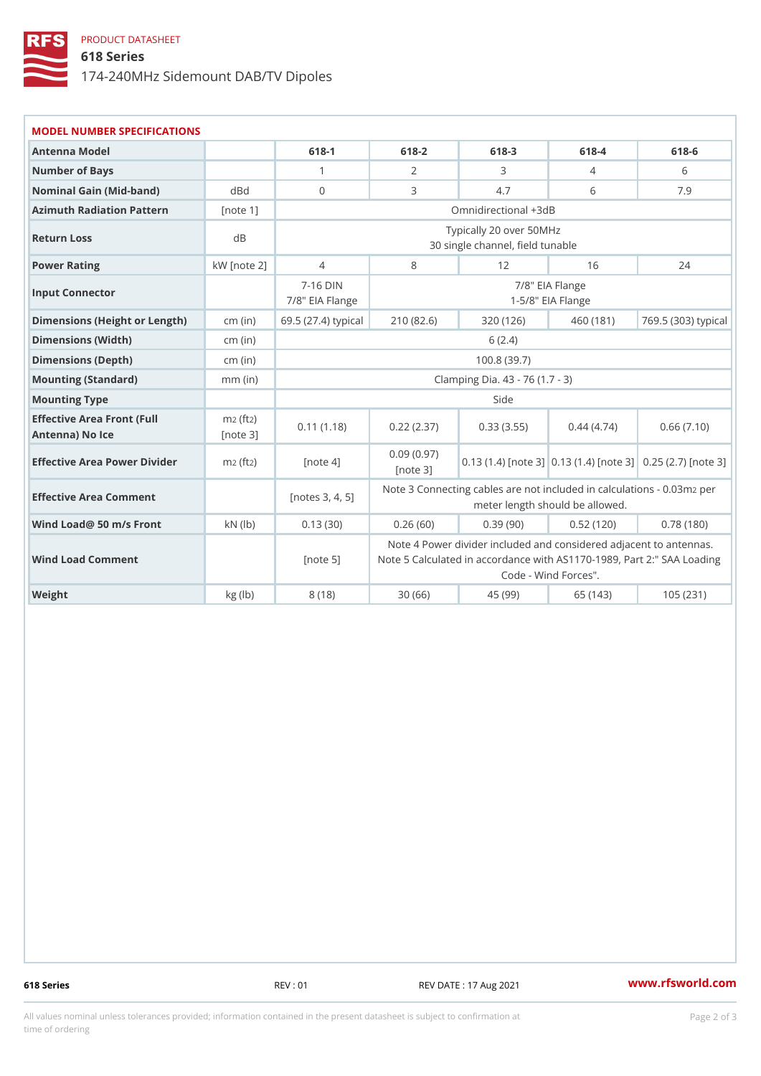## PRODUCT DATASHEET

618 Series

174-240MHz Sidemount DAB/TV Dipoles

| MODEL NUMBER SPECIFICATIONS                                    |               |                                                                                                          |           |                      |                      |                                                                                                        |  |  |  |  |
|----------------------------------------------------------------|---------------|----------------------------------------------------------------------------------------------------------|-----------|----------------------|----------------------|--------------------------------------------------------------------------------------------------------|--|--|--|--|
| Antenna Model                                                  |               | $618 - 1$                                                                                                | $618 - 2$ | $618 - 3$            | $618 - 4$            | $618 - 6$                                                                                              |  |  |  |  |
| Number of Bays                                                 |               | $\mathbf{1}$                                                                                             | 2         | 3                    | 4                    | 6                                                                                                      |  |  |  |  |
| Nominal Gain (Mid-band)                                        | dBd           | $\mathbf{0}$                                                                                             | 3         | 4.7                  | 6                    | 7.9                                                                                                    |  |  |  |  |
| Azimuth Radiation Pattern[note 1]                              |               |                                                                                                          |           | Omnidirectional +3dB |                      |                                                                                                        |  |  |  |  |
| Return Loss                                                    | d B           | Typically 20 over 50MHz<br>30 single channel, field tunable                                              |           |                      |                      |                                                                                                        |  |  |  |  |
| Power Rating                                                   | $kW$ [note 2] | $\overline{4}$                                                                                           | 8         | 12                   | 16                   | 24                                                                                                     |  |  |  |  |
| Input Connector                                                |               | $7 - 16$ DIN<br>7/8" EIA Flange<br>7/8" EIA Flange<br>$1 - 5/8$ " EIA Flange                             |           |                      |                      |                                                                                                        |  |  |  |  |
| Dimensions (Height or Length)(in) 69.5 (27.4) typi2cta0 (82.6) |               |                                                                                                          |           | 320(126)             |                      | 460 (181) 769.5 (303) typi                                                                             |  |  |  |  |
| Dimensions (Width)                                             | cm (in)       |                                                                                                          | 6(2.4)    |                      |                      |                                                                                                        |  |  |  |  |
| Dimensions (Depth)                                             | cm (in)       | 100.8(39.7)                                                                                              |           |                      |                      |                                                                                                        |  |  |  |  |
| Mounting (Standard)                                            | $mm$ (in)     | Clamping Dia. 43 - 76 (1.7 - 3)                                                                          |           |                      |                      |                                                                                                        |  |  |  |  |
| Mounting Type                                                  |               | Side                                                                                                     |           |                      |                      |                                                                                                        |  |  |  |  |
| Effective Area Front (Full m2 (2)<br>Antenna) No Ice           | [note 3]      |                                                                                                          |           |                      |                      | $0.11$ (1.18) $0.22$ (2.37) 0.33 (3.55) 0.44 (4.74) 0.66 (7.10)                                        |  |  |  |  |
| Effective Area Power Dividmezr (£)                             |               | [note 4]                                                                                                 | Inote 31  |                      |                      | $0.09$ $(0.97)$ .13 (1.4) [n0.t233(1.4) [n0t253]2.7) [note                                             |  |  |  |  |
| Effective Area Comment                                         |               | [notes 3, 4, 5] Note 3 Connecting cables are not included ziperal cul<br>meter length should be allowed. |           |                      |                      |                                                                                                        |  |  |  |  |
| Wind Load@ 50 m/s Front kN (lb)                                |               | 0.13(30)                                                                                                 | 0.26(60)  | 0.39(90)             | 0.52(120)            | 0.78(180)                                                                                              |  |  |  |  |
| Wind Load Comment                                              |               | [note 5]                                                                                                 |           |                      | Code - Wind Forces". | Note 4 Power divider included and considered adja<br>Note 5 Calculated in accordance with AS1170-1989. |  |  |  |  |
| Weight                                                         | kg (lb)       | 8(18)                                                                                                    | 30(66)    | 45(99)               | 65 $(143)$           | 105(231)                                                                                               |  |  |  |  |

618 Series REV : 01 REV DATE : 17 Aug 2021 [www.](https://www.rfsworld.com)rfsworld.com